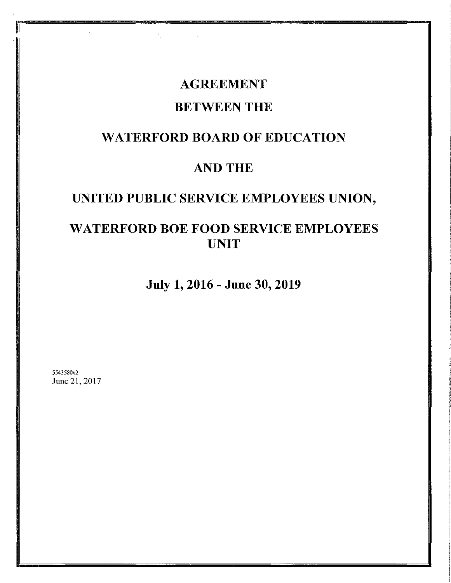# **AGREEMENT** BETWEEN THE

## WATERFORD BOARD OF EDUCATION

## AND THE

# UNITED PUBLIC SERVICE EMPLOYEES UNION,

## WATERFORD BOE FOOD SERVICE EMPLOYEES UNIT

July 1, 2016- June 30, 2019

5543580v2 June 21,2017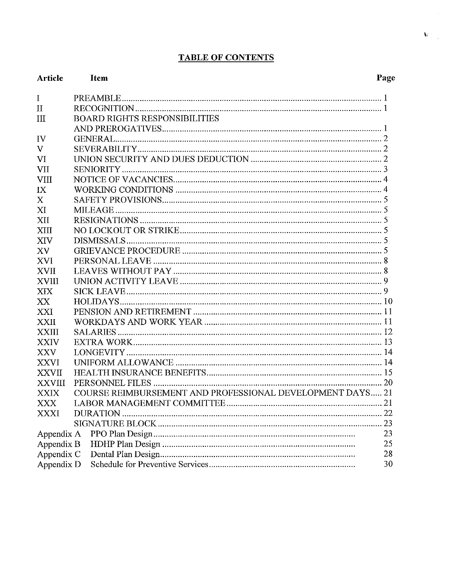## **TABLE OF CONTENTS**

| <b>Article</b> | <b>Item</b>                                               | Page |
|----------------|-----------------------------------------------------------|------|
| $\mathbf I$    |                                                           |      |
| $\mathbf{I}$   |                                                           |      |
| III            | <b>BOARD RIGHTS RESPONSIBILITIES</b>                      |      |
|                |                                                           |      |
| IV             |                                                           |      |
| $\mathbf{V}$   |                                                           |      |
| VI             |                                                           |      |
| VII            |                                                           |      |
| <b>VIII</b>    |                                                           |      |
| IX             |                                                           |      |
| X              |                                                           |      |
| XI             |                                                           |      |
| XII            |                                                           |      |
| XIII           |                                                           |      |
| XIV            |                                                           |      |
| XV             |                                                           |      |
| <b>XVI</b>     |                                                           |      |
| <b>XVII</b>    |                                                           |      |
| <b>XVIII</b>   |                                                           |      |
| XIX            |                                                           |      |
| XX             |                                                           |      |
| XXI            |                                                           |      |
| <b>XXII</b>    |                                                           |      |
| <b>XXIII</b>   |                                                           |      |
| <b>XXIV</b>    |                                                           |      |
| <b>XXV</b>     |                                                           |      |
| <b>XXVI</b>    |                                                           |      |
| <b>XXVII</b>   |                                                           |      |
| <b>XXVIII</b>  |                                                           |      |
| <b>XXIX</b>    | COURSE REIMBURSEMENT AND PROFESSIONAL DEVELOPMENT DAYS 21 |      |
| XXX            | LABOR MANAGEMENT COMMITTEE                                | 21   |
| XXXI           |                                                           |      |
|                |                                                           | 23   |
| Appendix A     |                                                           | 23   |
| Appendix B     |                                                           | 25   |
| Appendix C     |                                                           | 28   |
| Appendix D     |                                                           | 30   |

 $\mathcal{A}^{\pm}$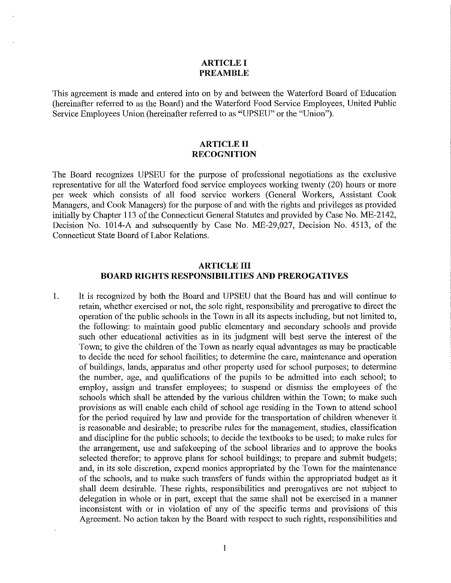#### **ARTICLE I PREAMBLE**

This agreement is made and entered into on by and between the Waterford Board of Education (hereinafter referred to as the Board) and the Waterford Food Service Employees, United Public Service Employees Union (hereinafter referred to as "UPSEU" or the "Union").

#### **ARTICLE II RECOGNITION**

The Board recognizes UPSEU for the purpose of professional negotiations as the exclusive representative for all the Waterford food service employees working twenty (20) hours or more per week which consists of all food service workers (General Workers, Assistant Cook Managers, and Cook Managers) for the purpose of and with the rights and privileges as provided initially by Chapter 113 of the Connecticut General Statutes and provided by Case No. ME-2142, Decision No. 1014-A and subsequently by Case No. ME-29,027, Decision No. 4513, of the Connecticut State Board of Labor Relations.

#### **ARTICLE III BOARD RIGHTS RESPONSIBILITIES AND PREROGATIVES**

1. It is recognized by both the Board and UPSEU that the Board has and will continue to retain, whether exercised or not, the sole right, responsibility and prerogative to direct the operation of the public schools in the Town in all its aspects including, but not limited to, the following: to maintain good public elementary and secondary schools and provide such other educational activities as in its judgment will best serve the interest of the Town; to give the children of the Town as nearly equal advantages as may be practicable to decide the need for school facilities; to determine the care, maintenance and operation of buildings, lands, apparatus and other property used for school purposes; to determine the number, age, and qualifications of the pupils to be admitted into each school; to employ, assign and transfer employees; to suspend or dismiss the employees of the schools which shall be attended by the various children within the Town; to make such provisions as will enable each child of school age residing in the Town to attend school for the period required by law and provide for the transportation of children whenever it is reasonable and desirable; to prescribe rules for the management, studies, classification and discipline for the public schools; to decide the textbooks to be used; to make rules for the arrangement, use and safekeeping of the school libraries and to approve the books selected therefor; to approve plans for school buildings; to prepare and submit budgets; and, in its sole discretion, expend monies appropriated by the Town for the maintenance of the schools, and to make such transfers of funds within the appropriated budget as it shall deem desirable. These rights, responsibilities and prerogatives are not subject to delegation in whole or in part, except that the same shall not be exercised in a manner inconsistent with or in violation of any of the specific terms and provisions of this Agreement. No action taken by the Board with respect to such rights, responsibilities and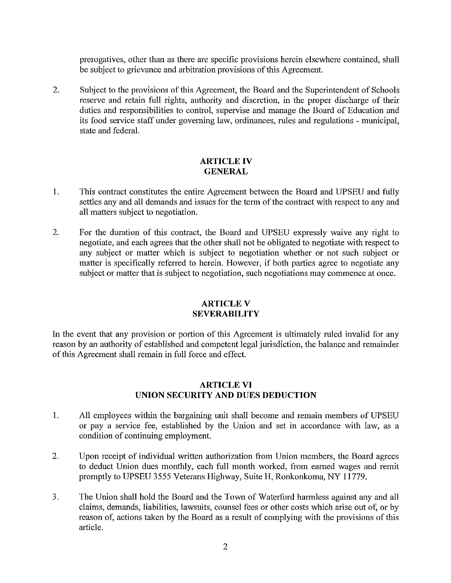prerogatives, other than as there are specific provisions herein elsewhere contained, shall be subject to grievance and arbitration provisions of this Agreement.

2. Subject to the provisions of this Agreement, the Board and the Superintendent of Schools reserve and retain full rights, authority and discretion, in the proper discharge of their duties and responsibilities to control, supervise and manage the Board of Education and its food service staff under governing law, ordinances, rules and regulations - municipal, state and federal.

## **ARTICLE IV GENERAL**

- 1. This contract constitutes the entire Agreement between the Board and UPSEU and fully settles any and all demands and issues for the term of the contract with respect to any and all matters subject to negotiation.
- 2. For the duration of this contract, the Board and UPSEU expressly waive any right to negotiate, and each agrees that the other shall not be obligated to negotiate with respect to any subject or matter which is subject to negotiation whether or not such subject or matter is specifically referred to herein. However, if both parties agree to negotiate any subject or matter that is subject to negotiation, such negotiations may commence at once.

## **ARTICLEV SEVERABILITY**

In the event that any provision or portion of this Agreement is ultimately ruled invalid for any reason by an authority of established and competent legal jurisdiction, the balance and remainder of this Agreement shall remain in full force and effect.

## **ARTICLE VI UNION SECURITY AND DUES DEDUCTION**

- 1. All employees within the bargaining unit shall become and remain members of UPSEU or pay a service fee, established by the Union and set in accordance with law, as a condition of continuing employment.
- 2. Upon receipt of individual written authorization from Union members, the Board agrees to deduct Union dues monthly, each full month worked, from earned wages and remit promptly to UPSEU 3555 Veterans Highway, Suite H, Ronkonkoma, NY 11779.
- 3. The Union shall hold the Board and the Town of Waterford harmless against any and all claims, demands, liabilities, lawsuits, counsel fees or other costs which arise out of, or by reason of, actions taken by the Board as a result of complying with the provisions of this article.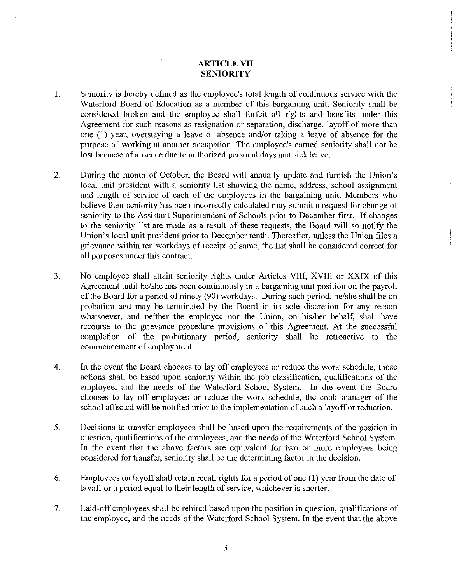## **ARTICLE VII SENIORITY**

- 1. Seniority is hereby defined as the employee's total length of continuous service with the Waterford Board of Education as a member of this bargaining unit. Seniority shall be considered broken and the employee shall forfeit all rights and benefits under this Agreement for such reasons as resignation or separation, discharge, layoff of more than one (1) year, overstaying a leave of absence and/or taking a leave of absence for the purpose of working at another occupation. The employee's earned seniority shall not be lost because of absence due to authorized personal days and sick leave.
- 2. During the month of October, the Board will annually update and finnish the Union's local unit president with a seniority list showing the name, address, school assignment and length of service of each of the employees in the bargaining unit. Members who believe their seniority has been incorrectly calculated may submit a request for change of seniority to the Assistant Superintendent of Schools prior to December first. If changes to the seniority list are made as a result of these requests, the Board will so notify the Union's local unit president prior to December tenth. Thereafter, unless the Union files a grievance within ten workdays of receipt of same, the list shall be considered correct for all purposes under this contract.
- 3. No employee shall attain seniority rights under Articles VIII, XVIII or XXIX of this Agreement until he/she has been continuously in a bargaining unit position on the payroll of the Board for a period of ninety (90) workdays. During such period, he/she shall be on probation and may be terminated by the Board in its sole discretion for any reason whatsoever, and neither the employee nor the Union, on his/her behalf, shall have recourse to the grievance procedure provisions of this Agreement. At the successful completion of the probationary period, seniority shall be retroactive to the commencement of employment.
- 4. In the event the Board chooses to lay off employees or reduce the work schedule, those actions shall be based upon seniority within the job classification, qualifications of the employee, and the needs of the Waterford School System. In the event the Board chooses to lay off employees or reduce the work schedule, the cook manager of the school affected will be notified prior to the implementation of such a layoff or reduction.
- 5. Decisions to transfer employees shall be based upon the requirements of the position in question, qualifications of the employees, and the needs of the Waterford School System. In the event that the above factors are equivalent for two or more employees being considered for transfer, seniority shall be the determining factor in the decision.
- 6. Employees on layoff shall retain recall rights for a period of one (I) year from the date of layoff or a period equal to their length of service, whichever is shorter.
- 7. Laid-off employees shall be rehired based upon the position in question, qualifications of the employee, and the needs of the Waterford School System. In the event that the above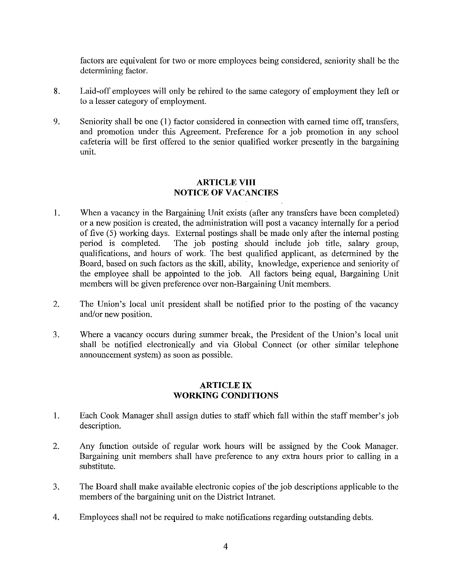factors are equivalent for two or more employees being considered, seniority shall be the determining factor.

- 8. Laid-off employees will only be rehired to the same category of employment they left or to a lesser category of employment.
- 9. Seniority shall be one (I) factor considered in connection with earned time off, transfers, and promotion under this Agreement. Preference for a job promotion in any school cafeteria will be first offered to the senior qualified worker presently in the bargaining unit.

## **ARTICLE VIII NOTICE OF VACANCIES**

- I. When a vacancy in the Bargaining Unit exists (after any transfers have been completed) or a new position is created, the administration will post a vacancy internally for a period of five (5) working days. External postings shall be made only after the internal posting<br>period is completed. The job posting should include job title, salary group, The job posting should include job title, salary group, qualifications, and hours of work. The best qualified applicant, as determined by the Board, based on such factors as the skill, ability, knowledge, experience and seniority of the employee shall be appointed to the job. All factors being equal, Bargaining Unit members will be given preference over non-Bargaining Unit members.
- 2. The Union's local unit president shall be notified prior to the posting of the vacancy and/or new position.
- 3. Where a vacancy occurs during summer break, the President of the Union's local unit shall be notified electronically and via Global Connect (or other similar telephone announcement system) as soon as possible.

#### **ARTICLE IX WORKING CONDITIONS**

- I. Each Cook Manager shall assign duties to staff which fall within the staff member's job description.
- 2. Any function outside of regular work hours will be assigned by the Cook Manager. Bargaining unit members shall have preference to any extra hours prior to calling in a substitute.
- 3. The Board shall make available electronic copies of the job descriptions applicable to the members of the bargaining unit on the District Intranet.
- 4. Employees shall not be required to make notifications regarding outstanding debts.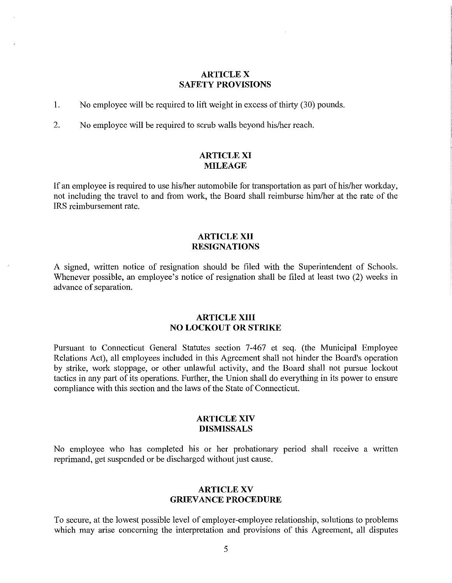#### **ARTICLE X SAFETY PROVISIONS**

1. No employee will be required to lift weight in excess of thirty (30) pounds.

2. No employee will be required to scmb walls beyond his/her reach.

### **ARTICLE XI MILEAGE**

If an employee is required to use his/her automobile for transportation as part of his/her workday, not including the travel to and from work, the Board shall reimburse him/her at the rate of the IRS reimbursement rate.

#### **ARTICLE XII RESIGNATIONS**

A signed, written notice of resignation should be filed with the Superintendent of Schools. Whenever possible, an employee's notice of resignation shall be filed at least two (2) weeks in advance of separation.

#### **ARTICLE XIII NO LOCKOUT OR STRIKE**

Pursuant to Connecticut General Statutes section 7-467 et seq. (the Municipal Employee Relations Act), all employees included in this Agreement shall not hinder the Board's operation by strike, work stoppage, or other unlawful activity, and the Board shall not pursue lockout tactics in any part of its operations. Further, the Union shall do everything in its power to ensure compliance with this section and the laws of the State of Connecticut.

#### **ARTICLE XIV DISMISSALS**

No employee who has completed his or her probationary period shall receive a written reprimand, get suspended or be discharged without just cause.

#### **ARTICLE XV GRIEVANCE PROCEDURE**

To secure, at the lowest possible level of employer-employee relationship, solutions to problems which may arise concerning the interpretation and provisions of this Agreement, all disputes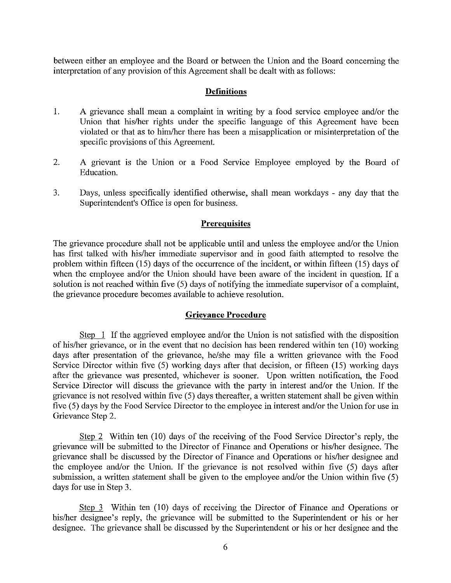between either an employee and the Board or between the Union and the Board concerning the interpretation of any provision of this Agreement shall be dealt with as follows:

#### **Definitions**

- 1. A grievance shall mean a complaint in writing by a food service employee and/or the Union that his/her rights under the specific language of this Agreement have been violated or that as to him/her there has been a misapplication or misinterpretation of the specific provisions of this Agreement.
- 2. A grievant is the Union or a Food Service Employee employed by the Board of Education.
- 3. Days, unless specifically identified otherwise, shall mean workdays any day that the Superintendent's Office is open for business.

#### **Prerequisites**

The grievance procedure shall not be applicable until and unless the employee and/or the Union has first talked with his/her immediate supervisor and in good faith attempted to resolve the problem within fifteen (15) days of the occurrence of the incident, or within fifteen (15) days of when the employee and/or the Union should have been aware of the incident in question. If a solution is not reached within five (5) days of notifying the immediate supervisor of a complaint, the grievance procedure becomes available to achieve resolution.

#### **Grievance Procedure**

Step 1 If the aggrieved employee and/or the Union is not satisfied with the disposition of his/her grievance, or in the event that no decision has been rendered within ten (10) working days after presentation of the grievance, he/she may file a written grievance with the Food Service Director within five (5) working days after that decision, or fifteen (15) working days after the grievance was presented, whichever is sooner. Upon written notification, the Food Service Director will discuss the grievance with the party in interest and/or the Union. If the grievance is not resolved within five (5) days thereafter, a written statement shall be given within five (5) days by the Food Service Director to the employee in interest and/or the Union for use in Grievance Step 2.

Step 2 Within ten (10) days of the receiving of the Food Service Director's reply, the grievance will be submitted to the Director of Finance and Operations or his/her designee. The grievance shall be discussed by the Director of Finance and Operations or his/her designee and the employee and/or the Union. If the grievance is not resolved within five (5) days after submission, a written statement shall be given to the employee and/or the Union within five (5) days for use in Step 3.

Step 3 Within ten (10) days of receiving the Director of Finance and Operations or his/her designee's reply, the grievance will be submitted to the Superintendent or his or her designee. The grievance shall be discussed by the Superintendent or his or her designee and the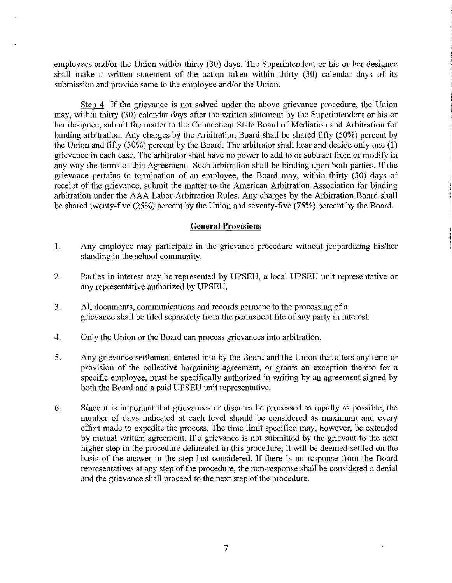employees and/or the Union within thirty (30) days. The Superintendent or his or her designee shall make a written statement of the action taken within thitty (30) calendar days of its submission and provide same to the employee and/or the Union.

Step 4 If the grievance is not solved under the above grievance procedure, the Union may, within thirty (30) calendar days after the written statement by the Superintendent or his or her designee, submit the matter to the Connecticut State Board of Mediation and Arbitration for binding arbitration. Any charges by the Arbitration Board shall be shared fifty (50%) percent by the Union and fifty (50%) percent by the Board. The arbitrator shall hear and decide only one (1) grievance in each case. The arbitrator shall have no power to add to or subtract from or modify in any way the terms of this Agreement. Such arbitration shall be binding upon both parties. If the grievance pertains to termination of an employee, the Board may, within thitty (30) days of receipt of the grievance, submit the matter to the American Arbitration Association for binding arbitration under the AAA Labor Arbitration Rules. Any charges by the Arbitration Board shall be shared twenty-five  $(25%)$  percent by the Union and seventy-five  $(75%)$  percent by the Board.

#### **General Provisions**

- 1. Any employee may participate in the grievance procedure without jeopardizing his/her standing in the school community.
- 2. Parties in interest may be represented by UPSEU, a local UPSEU unit representative or any representative authorized by UPSEU.
- 3. All documents, communications and records germane to the processing of a grievance shall be filed separately from the permanent file of any party in interest.
- 4. Only the Union or the Board can process grievances into arbitration.
- 5. Any grievance settlement entered into by the Board and the Union that alters any term or provision of the collective bargaining agreement, or grants an exception thereto for a specific employee, must be specifically authorized in writing by an agreement signed by both the Board and a paid UPSEU unit representative.
- 6. Since it is important that grievances or disputes be processed as rapidly as possible, the number of days indicated at each level should be considered as maximum and every effort made to expedite the process. The time limit specified may, however, be extended by mutual written agreement. If a grievance is not submitted by the grievant to the next higher step in the procedure delineated in this procedure, it will be deemed settled on the basis of the answer in the step last considered. If there is no response from the Board representatives at any step of the procedure, the non-response shall be considered a denial and the grievance shall proceed to the next step of the procedure.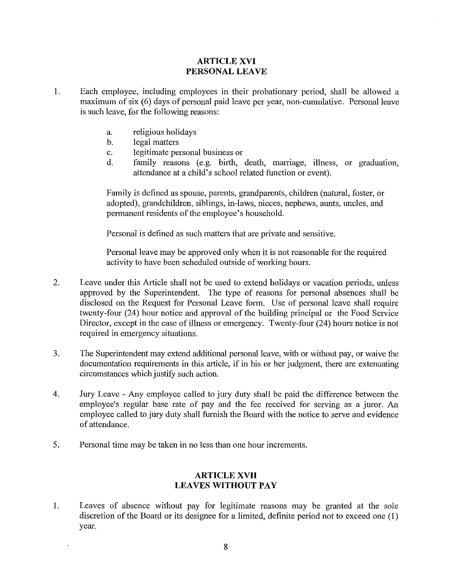## **ARTICLE XVI PERSONAL LEAVE**

- 1. Each employee, including employees in their probationary period, shall be allowed a maximum of six (6) days of personal paid leave per year, non-cumulative. Personal leave is such leave, for the following reasons:
	- a. religious holidays
	- b. legal matters
	- c. legitimate personal business or
	- d. family reasons (e.g. birth, death, marriage, illness, or graduation, attendance at a child's school related function or event).

Family is defined as spouse, parents, grandparents, children (natural, foster, or adopted), grandchildren, siblings, in-laws, nieces, nephews, aunts, uncles, and permanent residents of the employee's household.

Personal is defined as such matters that are private and sensitive.

Personal leave may be approved only when it is not reasonable for the required activity to have been scheduled outside of working hours.

- 2. Leave under this Article shall not be used to extend holidays or vacation periods, unless approved by the Superintendent. The type of reasons for personal absences shall be disclosed on the Request for Personal Leave form. Use of personal leave shall require twenty-four (24) hour notice and approval of the building principal or the Food Service Director, except in the case of illness or emergency. Twenty-four (24) hours notice is not required in emergency situations.
- 3. The Superintendent may extend additional personal leave, with or without pay, or waive the documentation requirements in this article, if in his or her judgment, there are extenuating circumstances which justify such action.
- 4. Jury Leave Any employee called to jury duty shall be paid the difference between the employee's regular base rate of pay and the fee received for serving as a juror. An employee called to jury duty shall furnish the Board with the notice to serve and evidence of attendance.
- 5. Personal time may be taken in no less than one hour increments.

## **ARTICLE XVII LEAVES WITHOUT PAY**

1. Leaves of absence without pay for legitimate reasons may be granted at the sole discretion of the Board or its designee for a limited, definite period not to exceed one (1) year.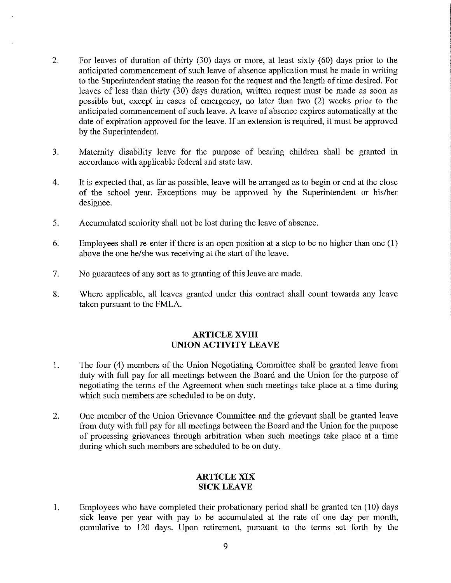- 2. For leaves of duration of thirty (30) days or more, at least sixty (60) days prior to the anticipated commencement of such leave of absence application must be made in writing to the Superintendent stating the reason for the request and the length of time desired. For leaves of less than thirty (30) days duration, written request must be made as soon as possible but, except in cases of emergency, no later than two (2) weeks prior to the anticipated commencement of such leave. A leave of absence expires automatically at the date of expiration approved for the leave. If an extension is required, it must be approved by the Superintendent.
- 3. Maternity disability leave for the purpose of bearing children shall be granted m accordance with applicable federal and state law.
- 4. It is expected that, as far as possible, leave will be arranged as to begin or end at the close of the school year. Exceptions may be approved by the Superintendent or his/her designee.
- 5. Accumulated seniority shall not be lost during the leave of absence.
- 6. Employees shall re-enter if there is an open position at a step to be no higher than one (1) above the one he/she was receiving at the start of the leave.
- 7. No guarantees of any sort as to granting of this leave are made.
- 8. Where applicable, all leaves granted under this contract shall count towards any leave taken pursuant to the FMLA.

#### **ARTICLE XVIII UNION ACTIVITY LEAVE**

- 1. The four (4) members of the Union Negotiating Committee shall be granted leave from duty with full pay for all meetings between the Board and the Union for the purpose of negotiating the terms of the Agreement when such meetings take place at a time during which such members are scheduled to be on duty.
- 2. One member of the Union Grievance Committee and the grievant shall be granted leave from duty with full pay for all meetings between the Board and the Union for the purpose of processing grievances through arbitration when such meetings take place at a time during which such members are scheduled to be on duty.

### **ARTICLE XIX SICK LEAVE**

1. Employees who have completed their probationary period shall be granted ten (10) days sick leave per year with pay to be accumulated at the rate of one day per month, cumulative to 120 days. Upon retirement, pursuant to the terms set forth by the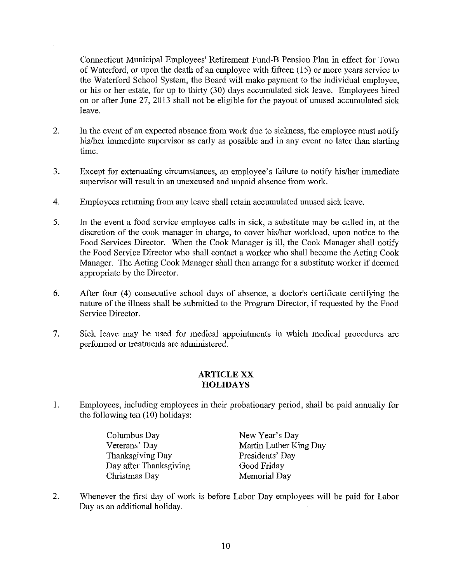Connecticut Municipal Employees' Retirement Fund-B Pension Plan in effect for Town of Waterford, or upon the death of an employee with fifteen (15) or more years service to the Waterford School System, the Board will make payment to the individual employee, or his or her estate, for up to thirty (30) days accumulated sick leave. Employees hired on or after June 27, 2013 shall not be eligible for the payout of unused accumulated sick leave.

- 2. In the event of an expected absence from work due to sickness, the employee must notify his/her immediate supervisor as early as possible and in any event no later than starting time.
- 3. Except for extenuating circumstances, an employee's failure to notify his/her immediate supervisor will result in an unexcused and unpaid absence from work.
- 4. Employees returning from any leave shall retain accumulated unused sick leave.
- 5. In the event a food service employee calls in sick, a substitute may be called in, at the discretion of the cook manager in charge, to cover his/her workload, upon notice to the Food Services Director. When the Cook Manager is ill, the Cook Manager shall notify the Food Service Director who shall contact a worker who shall become the Acting Cook Manager. The Acting Cook Manager shall then arrange for a substitute worker if deemed appropriate by the Director.
- 6. After four (4) consecutive school days of absence, a doctor's certificate certifying the nature of the illness shall be submitted to the Program Director, if requested by the Food Service Director.
- 7. Sick leave may be used for medical appointments in which medical procedures are performed or treatments are administered.

### **ARTICLE XX HOLIDAYS**

1. Employees, including employees in their probationary period, shall be paid annually for the following ten  $(10)$  holidays:

> Columbus Day Veterans' Day Thanksgiving Day Day after Thanksgiving Christmas Day

New Year's Day Martin Luther King Day Presidents' Day Good Friday Memorial Day

2. Whenever the first day of work is before Labor Day employees will be paid for Labor Day as an additional holiday.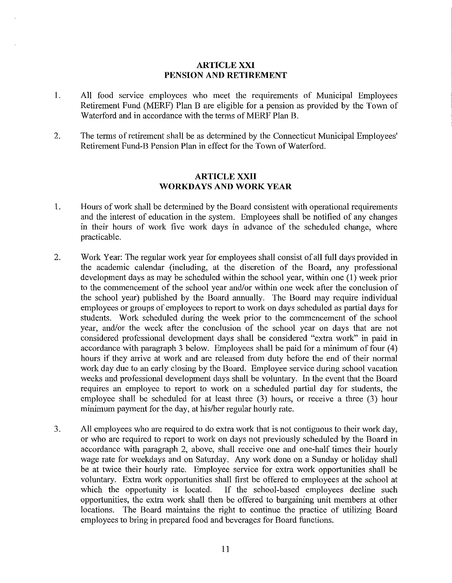#### **ARTICLE XXI PENSION AND RETIREMENT**

- 1. All food service employees who meet the requirements of Municipal Employees Retirement Fund (MERF) Plan B are eligible for a pension as provided by the Town of Waterford and in accordance with the terms of MERF Plan B.
- 2. The terms of retirement shall be as determined by the Connecticut Municipal Employees' Retirement Fund-B Pension Plan in effect for the Town of Waterford.

## **ARTICLE XXII WORKDAYS AND WORK YEAR**

- 1. Hours of work shall be determined by the Board consistent with operational requirements and the interest of education in the system. Employees shall be notified of any changes in their hours of work five work days in advance of the scheduled change, where practicable.
- 2. Work Year: The regular work year for employees shall consist of all full days provided in the academic calendar (including, at the discretion of the Board, any professional development days as may be scheduled within the school year, within one (I) week prior to the commencement of the school year and/or within one week after the conclusion of the school year) published by the Board annually. The Board may require individual employees or groups of employees to report to work on days scheduled as partial days for students. Work scheduled during the week prior to the commencement of the school year, and/or the week after the conclusion of the school year on days that are not considered professional development days shall be considered "extra work" in paid in accordance with paragraph 3 below. Employees shall be paid for a minimum of four (4) hours if they arrive at work and are released from duty before the end of their normal work day due to an early closing by the Board. Employee service during school vacation weeks and professional development days shall be voluntary. In the event that the Board requires an employee to report to work on a scheduled partial day for students, the employee shall be scheduled for at least three (3) hours, or receive a three (3) hour minimum payment for the day, at his/her regular hourly rate.
- 3. All employees who are required to do extra work that is not contiguous to their work day, or who are required to report to work on days not previously scheduled by the Board in accordance with paragraph 2, above, shall receive one and one-half times their hourly wage rate for weekdays and on Saturday. Any work done on a Sunday or holiday shall be at twice their hourly rate. Employee service for extra work opportunities shall be voluntary. Extra work opportunities shall first be offered to employees at the school at which the opportunity is located. If the school-based employees decline such opportunities, the extra work shall then be offered to bargaining unit members at other locations. The Board maintains the right to continue the practice of utilizing Board employees to bring in prepared food and beverages for Board functions.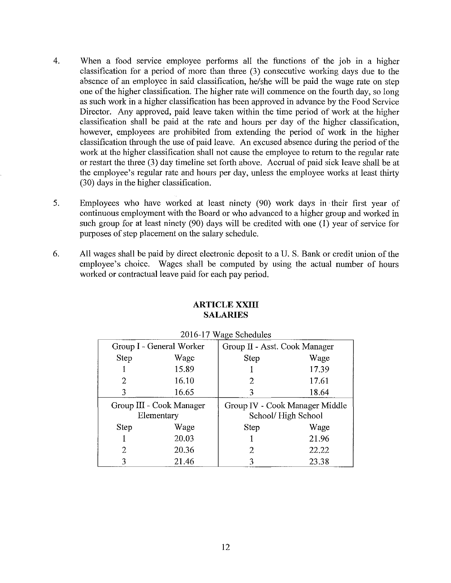- 4. When a food service employee performs all the functions of the job in a higher classification for a period of more than three (3) consecutive working days due to the absence of an employee in said classification, he/she will be paid the wage rate on step one of the higher classification. The higher rate will commence on the fourth day, so long as such work in a higher classification has been approved in advance by the Food Service Director. Any approved, paid leave taken within the time period of work at the higher classification shall be paid at the rate and hours per day of the higher classification, however, employees are prohibited from extending the period of work in the higher classification through the use of paid leave. An excused absence during the period of the work at the higher classification shall not cause the employee to return to the regular rate or restart the three (3) day timeline set forth above. Accrual of paid sick leave shall be at the employee's regular rate and hours per day, unless the employee works at least thirty (30) days in the higher classification.
- 5. Employees who have worked at least ninety (90) work days in· their first year of continuous employment with the Board or who advanced to a higher group and worked in such group for at least ninety (90) days will be credited with one (I) year of service for purposes of step placement on the salary schedule.
- 6. All wages shall be paid by direct electronic deposit to aU. S. Bank or credit union of the employee's choice. Wages shall be computed by using the actual number of hours worked or contractual leave paid for each pay period.

| 2016-17 Wage Schedules   |       |                               |                                |
|--------------------------|-------|-------------------------------|--------------------------------|
| Group I - General Worker |       | Group II - Asst. Cook Manager |                                |
| <b>Step</b>              | Wage  | Step                          | Wage                           |
|                          | 15.89 |                               | 17.39                          |
| 2                        | 16.10 | 2                             | 17.61                          |
| 3                        | 16.65 | 3                             | 18.64                          |
| Group III - Cook Manager |       |                               | Group IV - Cook Manager Middle |
| Elementary               |       |                               | School/High School             |
| <b>Step</b>              | Wage  | <b>Step</b>                   | Wage                           |
|                          | 20.03 |                               | 21.96                          |
| 2                        | 20.36 | 2                             | 22.22                          |
| 3                        | 21.46 | 3                             | 23.38                          |

### **ARTICLE XXIII SALARIES**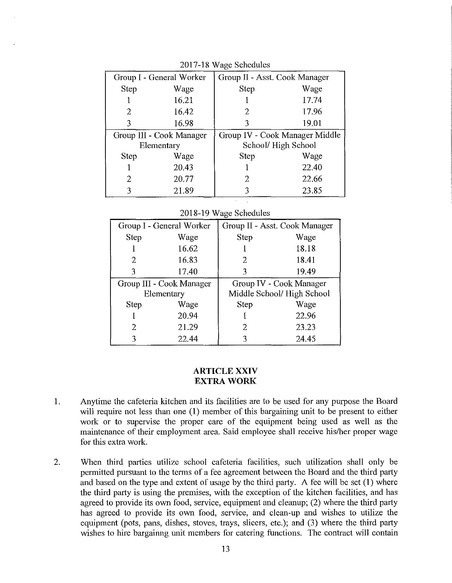| Group I - General Worker |       | Group II - Asst. Cook Manager |                                |
|--------------------------|-------|-------------------------------|--------------------------------|
| Step                     | Wage  | Step                          | Wage                           |
|                          | 16.21 |                               | 17.74                          |
| 2                        | 16.42 | 2                             | 17.96                          |
| 3                        | 16.98 | 3                             | 19.01                          |
| Group III - Cook Manager |       |                               | Group IV - Cook Manager Middle |
| Elementary               |       |                               | School/High School             |
| <b>Step</b>              | Wage  | <b>Step</b>                   | Wage                           |
|                          | 20.43 |                               | 22.40                          |
| 2                        | 20.77 | 2                             | 22.66                          |
|                          | 21.89 | 3                             | 23.85                          |

2017-18 Wage Schedules

|  |  | 2018-19 Wage Schedules |
|--|--|------------------------|
|--|--|------------------------|

| Group I - General Worker |      |       | Group II - Asst. Cook Manager |       |
|--------------------------|------|-------|-------------------------------|-------|
|                          | Step | Wage  | <b>Step</b>                   | Wage  |
|                          |      | 16.62 |                               | 18.18 |
|                          | 2    | 16.83 | 2.                            | 18.41 |
|                          | 3    | 17.40 | 3                             | 19.49 |
| Group III - Cook Manager |      |       | Group IV - Cook Manager       |       |
| Elementary               |      |       | Middle School/High School     |       |
|                          | Step | Wage  | <b>Step</b>                   | Wage  |
|                          |      | 20.94 |                               | 22.96 |
|                          | 2    | 21.29 | 2                             | 23.23 |
|                          | ٦    | 22.44 | ٦                             | 24.45 |

#### **ARTICLE XXIV EXTRA WORK**

- 1. Anytime the cafeteria kitchen and its facilities are to be used for any purpose the Board will require not less than one (1) member of this bargaining unit to be present to either work or to supervise the proper care of the equipment being used as well as the maintenance of their employment area. Said employee shall receive his/her proper wage for this extra work.
- 2. When third parties utilize school cafeteria facilities, such utilization shall only be permitted pursuant to the terms of a fee agreement between the Board and the third party and based on the type and extent of usage by the third party. A fee will be set (1) where the third party is using the premises, with the exception of the kitchen facilities, and has agreed to provide its own food, service, equipment and cleanup; (2) where the third party has agreed to provide its own food, service, and clean-up and wishes to utilize the equipment (pots, pans, dishes, stoves, trays, slicers, etc.); and (3) where the third party wishes to hire bargainng unit members for catering functions. The contract will contain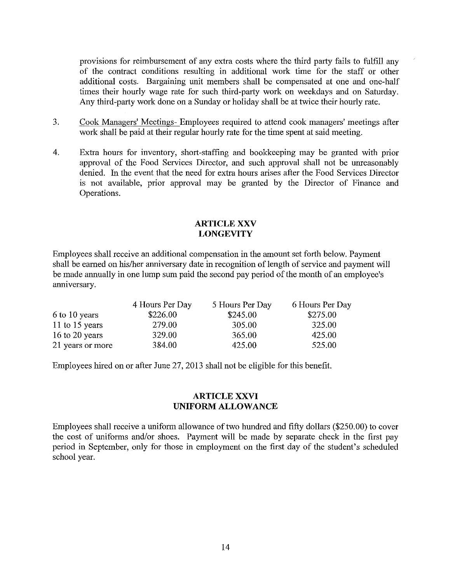provisions for reimbursement of any extra costs where the third party fails to fulfill any of the contract conditions resulting in additional work time for the staff or other additional costs. Bargaining unit members shall be compensated at one and one-half times their hourly wage rate for such third-party work on weekdays and on Saturday. Any third-party work done on a Sunday or holiday shall be at twice their hourly rate.

- 3. Cook Managers' Meetings- Employees required to attend cook managers' meetings after work shall be paid at their regular hourly rate for the time spent at said meeting.
- 4. Extra hours for inventory, short-staffing and bookkeeping may be granted with prior approval of the Food Services Director, and such approval shall not be umeasonably denied. In the event that the need for extra hours arises after the Food Services Director is not available, prior approval may be granted by the Director of Finance and Operations.

#### **ARTICLE XXV LONGEVITY**

Employees shall receive an additional compensation in the amount set forth below. Payment shall be earned on his/her anniversary date in recognition of length of service and payment will be made annually in one lump sum paid the second pay period of the month of an employee's anniversary.

|                  | 4 Hours Per Day | 5 Hours Per Day | 6 Hours Per Day |
|------------------|-----------------|-----------------|-----------------|
| 6 to 10 years    | \$226.00        | \$245.00        | \$275.00        |
| 11 to 15 years   | 279.00          | 305.00          | 325.00          |
| 16 to 20 years   | 329.00          | 365.00          | 425.00          |
| 21 years or more | 384.00          | 425.00          | 525.00          |

Employees hired on or after June 27, 20!3 shall not be eligible for this benefit.

## **ARTICLE XXVI UNIFORM ALLOWANCE**

Employees shall receive a uniform allowance of two hundred and fifty dollars (\$250.00) to cover the cost of uniforms and/or shoes. Payment will be made by separate check in the first pay period in September, only for those in employment on the first day of the student's scheduled school year.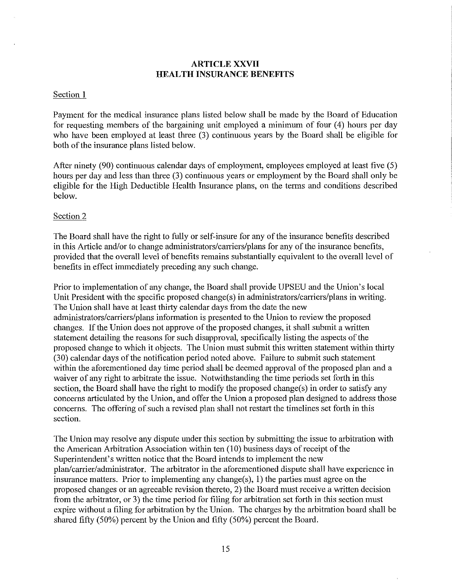## **ARTICLE XXVII HEALTH INSURANCE BENEFITS**

#### Section 1

Payment for the medical insurance plans listed below shall be made by the Board of Education for requesting members of the bargaining unit employed a minimum of four (4) hours per day who have been employed at least three (3) continuous years by the Board shall be eligible for both of the insurance plans listed below.

After ninety (90) continuous calendar days of employment, employees employed at least five (5) hours per day and less than three (3) continuous years or employment by the Board shall only be eligible for the High Deductible Health Insurance plans, on the terms and conditions described below.

#### Section 2

The Board shall have the right to fully or self-insure for any of the insurance benefits described in this Article and/or to change administrators/carriers/plans for any of the insurance benefits, provided that the overall level of benefits remains substantially equivalent to the overall level of benefits in effect immediately preceding any such change.

Prior to implementation of any change, the Board shall provide UPSEU and the Union's local Unit President with the specific proposed change(s) in administrators/carriers/plans in writing. The Union shall have at least thirty calendar days from the date the new administrators/carriers/plans information is presented to the Union to review the proposed changes. If the Union does not approve of the proposed changes, it shall submit a written statement detailing the reasons for such disapproval, specifically listing the aspects of the proposed change to which it objects. The Union must submit this written statement within thirty (30) calendar days of the notification period noted above. Failure to submit such statement within the aforementioned day time period shall be deemed approval of the proposed plan and a waiver of any right to arbitrate the issue. Notwithstanding the time periods set forth in this section, the Board shall have the right to modify the proposed change $(s)$  in order to satisfy any concems articulated by the Union, and offer the Union a proposed plan designed to address those concems. The offering of such a revised plan shall not restart the timelines set forth in this section.

The Union may resolve any dispute under this section by submitting the issue to arbitration with the American Arbitration Association within ten (10) business days of receipt of the Superintendent's written notice that the Board intends to implement the new plan/carrier/administrator. The arbitrator in the aforementioned dispute shall have experience in insurance matters. Prior to implementing any change(s), 1) the parties must agree on the proposed changes or an agreeable revision thereto, 2) the Board must receive a written decision from the arbitrator, or 3) the time period for filing for arbitration set forth in this section must expire without a filing for arbitration by the Union. The charges by the arbitration board shall be shared fifty (50%) percent by the Union and fifty (50%) percent the Board.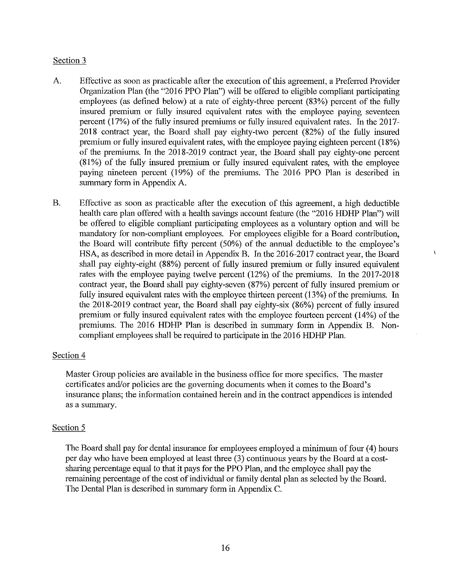## Section 3

- A. Effective as soon as practicable after the execution of this agreement, a Preferred Provider Organization Plan (the "2016 PPO Plan") will be offered to eligible compliant participating employees (as defined below) at a rate of eighty-three percent (83%) percent of the fully insured premium or fully insured equivalent rates with the employee paying seventeen percent (17%) of the fully insured premiums or fully insured equivalent rates. In the 2017- 2018 contract year, the Board shall pay eighty-two percent (82%) of the fully insured premium or fully insured equivalent rates, with the employee paying eighteen percent (18%) of the premiums. In the 2018-2019 contract year, the Board shall pay eighty-one percent (8 I%) of the fully insured premium or fully insured equivalent rates, with the employee paying nineteen percent (19%) of the premiums. The 2016 PPO Plan is described in summary form in Appendix A.
- B. Effective as soon as practicable after the execution of this agreement, a high deductible health care plan offered with a health savings account feature (the "2016 HDHP Plan") will be offered to eligible compliant participating employees as a voluntary option and will be mandatory for non-compliant employees. For employees eligible for a Board contribution, the Board will contribute fifty percent (50%) of the annual deductible to the employee's HSA, as described in more detail in Appendix B. In the 2016-2017 contract year, the Board shall pay eighty-eight (88%) percent of fully insured premium or fully insured equivalent rates with the employee paying twelve percent (12%) of the premiums. In the 2017-2018 contract year, the Board shall pay eighty-seven (87%) percent of fully insured premium or fully insured equivalent rates with the employee thirteen percent (13%) of the premiums. In the 2018-2019 contract year, the Board shall pay eighty-six (86%) percent of fully insured premium or fully insured equivalent rates with the employee fourteen percent (14%) of the premiums. The 2016 HDHP Plan is described in summary fonn in Appendix B. Noncompliant employees shall be required to participate in the 2016 HDHP Plan.

À

### Section 4

Master Group policies are available in the business office for more specifics. The master certificates and/or policies are the goveming documents when it comes to the Board's insurance plans; the information contained herein and in the contract appendices is intended as a summary.

### Section 5

The Board shall pay for dental insurance for employees employed a minimum of four ( 4) hours per day who have been employed at least three (3) continuous years by the Board at a costsharing percentage equal to that it pays for the PPO Plan, and the employee shall pay the remaining percentage of the cost of individual or family dental plan as selected by the Board. The Dental Plan is described in summary form in Appendix C.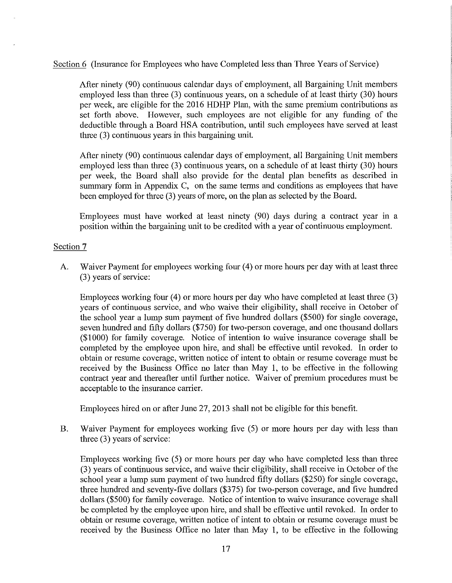Section 6 (Insurance for Employees who have Completed less than Three Years of Service)

After ninety (90) continuous calendar days of employment, all Bargaining Unit members employed less than three (3) continuous years, on a schedule of at least thirty (30) hours per week, are eligible for the 2016 HDHP Plan, with the same premium contributions as set forth above. However, such employees are not eligible for any funding of the deductible through a Board HSA contribution, until such employees have served at least three (3) continuous years in this bargaining unit.

After ninety (90) continuous calendar days of employment, all Bargaining Unit members employed less than three (3) continuous years, on a schedule of at least thirty (30) hours per week, the Board shall also provide for the dental plan benefits as described in summary form in Appendix C, on the same terms and conditions as employees that have been employed for three (3) years of more, on the plan as selected by the Board.

Employees must have worked at least ninety (90) days during a contract year in a position within the bargaining unit to be credited with a year of continuous employment.

### Section 7

A. Waiver Payment for employees working four (4) or more hours per day with at least three (3) years of service:

Employees working four (4) or more hours per day who have completed at least three (3) years of continuous service, and who waive their eligibility, shall receive in October of the school year a lump sum payment of five hundred dollars (\$500) for single coverage, seven hundred and fifty dollars (\$750) for two-person coverage, and one thousand dollars (\$1000) for family coverage. Notice of intention to waive insurance coverage shall be completed by the employee upon hire, and shall be effective until revoked. In order to obtain or resume coverage, written notice of intent to obtain or resume coverage must be received by the Business Office no later than May 1, to be effective in the following contract year and thereafter until further notice. Waiver of premium procedures must be acceptable to the insurance carrier.

Employees hired on or after June 27, 2013 shall not be eligible for this benefit.

B. Waiver Payment for employees working five (5) or more hours per day with less than three (3) years of service:

Employees working five (5) or more hours per day who have completed less than three (3) years of continuous service, and waive their eligibility, shall receive in October of the school year a lump sum payment of two hundred fifty dollars (\$250) for single coverage, three hundred and seventy-five dollars (\$375) for two-person coverage, and five hundred dollars (\$500) for family coverage. Notice of intention to waive insurance coverage shall be completed by the employee upon hire, and shall be effective until revoked. In order to obtain or resume coverage, written notice of intent to obtain or resume coverage must be received by the Business Office no later than May I, to be effective in the following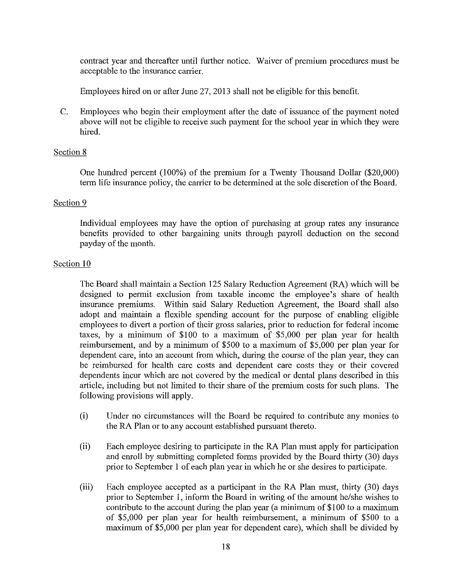contract year and thereafter until further notice. Waiver of premium procedures must be acceptable to the insurance carrier.

Employees hired on or after June 27,2013 shall not be eligible for this benefit.

C. Employees who begin their employment after the date of issuance of the payment noted above will not be eligible to receive such payment for the school year in which they were hired.

### Section 8

One hundred percent (100%) of the premium for a Twenty Thousand Dollar (\$20,000) tetm life insurance policy, the carrier to be determined at the sole discretion of the Board.

#### Section 9

Individual employees may have the option of purchasing at group rates any insurance benefits provided to other bargaining units through payroll deduction on the second payday of the month.

### Section 10

The Board shall maintain a Section 125 Salary Reduction Agreement (RA) which will be designed to permit exclusion from taxable income the employee's share of health insurance premiums. Within said Salary Reduction Agreement, the Board shall also adopt and maintain a flexible spending account for the purpose of enabling eligible employees to divert a portion of their gross salaries, prior to reduction for federal income taxes, by a minimum of \$100 to a maximum of \$5,000 per plan year for health reimbursement, and by a minimum of \$500 to a maximum of \$5,000 per plan year for dependent care, into an account from which, during the course of the plan year, they can be reimbursed for health care costs and dependent care costs they or their covered dependents incur which are not covered by the medical or dental plans described in this article, including but not limited to their share of the premium costs for such plans. The following provisions will apply.

- (i) Under no circumstances will the Board be required to contribute any monies to the RA Plan or to any account established pursuant thereto.
- (ii) Each employee desiring to participate in the RA Plan must apply for participation and emoll by submitting completed forms provided by the Board thirty (30) days prior to September 1 of each plan year in which he or she desires to participate.
- (iii) Each employee accepted as a participant in the RA Plan must, thirty (30) days prior to September I, inform the Board in writing of the amount he/she wishes to contribute to the account during the plan year (a minimum of \$100 to a maximum of \$5,000 per plan year for health reimbursement, a minimum of \$500 to a maximum of \$5,000 per plan year for dependent care), which shall be divided by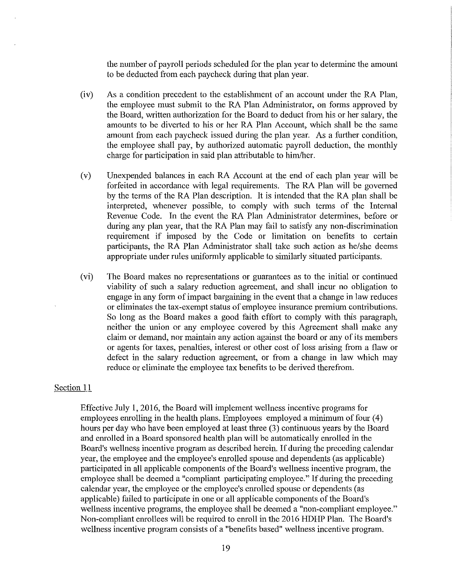the number of payroll periods scheduled for the plan year to determine the amount to be deducted from each paycheck during that plan year.

- (iv) As a condition precedent to the establishment of an account under the RA Plan, the employee must submit to the RA Plan Administrator, on forms approved by the Board, written authorization for the Board to deduct from his or her salary, the amounts to be divetied to his or her RA Plan Account, which shall be the same amount from each paycheck issued during the plan year. As a further condition, the employee shall pay, by authorized automatic payroll deduction, the monthly charge for participation in said plan attributable to him/her.
- (v) Unexpended balances in each RA Account at the end of each plan year will be forfeited in accordance with legal requirements. The RA Plan will be governed by the terms of the RA Plan description. It is intended that the RA plan shall be interpreted, whenever possible, to comply with such terms of the Internal Revenue Code. In the event the RA Plan Administrator determines, before or during any plan year, that the RA Plan may fail to satisfy any non-discrimination requirement if imposed by the Code or limitation on benefits to cetiain participants, the RA Plan Administrator shall take such action as he/she deems appropriate under rules uniformly applicable to similarly situated participants.
- (vi) The Board makes no representations or guarantees as to the initial or continued viability of such a salary reduction agreement, and shall incur no obligation to engage in any form of impact bargaining in the event that a change in law reduces or eliminates the tax-exempt status of employee insurance premium contributions. So long as the Board makes a good faith effort to comply with this paragraph, neither the union or any employee covered by this Agreement shall make any claim or demand, nor maintain any action against the board or any of its members or agents for taxes, penalties, interest or other cost of loss arising from a flaw or defect in the salary reduction agreement, or from a change in law which may reduce or eliminate the employee tax benefits to be derived therefrom.

#### Section 11

Effective July 1, 2016, the Board will implement wellness incentive programs for employees enrolling in the health plans. Employees employed a minimum of four (4) hours per day who have been employed at least three (3) continuous years by the Board and enrolled in a Board sponsored health plan will be automatically enrolled in the Board's wellness incentive program as described herein. If during the preceding calendar year, the employee and the employee's enrolled spouse and dependents (as applicable) participated in all applicable components of the Board's wellness incentive program, the employee shall be deemed a "compliant participating employee." If during the preceding calendar year, the employee or the employee's enrolled spouse or dependents (as applicable) failed to participate in one or all applicable components of the Board's wellness incentive programs, the employee shall be deemed a "non-compliant employee." Non-compliant enrollees will be required to enroll in the 2016 HDHP Plan. The Board's wellness incentive program consists of a "benefits based" wellness incentive program.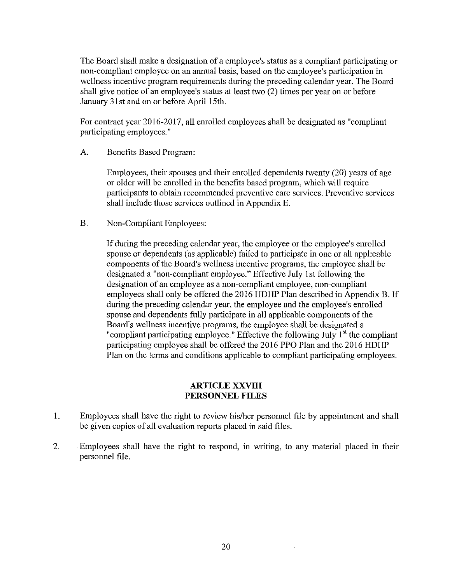The Board shall make a designation of a employee's status as a compliant participating or non-compliant employee on an annual basis, based on the employee's participation in wellness incentive program requirements during the preceding calendar year. The Board shall give notice of an employee's status at least two (2) times per year on or before January 31st and on or before April 15th.

For contract year 2016-2017, all enrolled employees shall be designated as "compliant participating employees."

A. Benefits Based Program:

Employees, their spouses and their enrolled dependents twenty (20) years of age or older will be enrolled in the benefits based program, which will require participants to obtain recommended preventive care services. Preventive services shall include those services outlined in Appendix E.

B. Non-Compliant Employees:

If during the preceding calendar year, the employee or the employee's enrolled spouse or dependents (as applicable) failed to participate in one or all applicable components of the Board's wellness incentive programs, the employee shall be designated a "non-compliant employee." Effective July 1st following the designation of an employee as a non-compliant employee, non-compliant employees shall only be offered the 2016 HDHP Plan described in Appendix B. If during the preceding calendar year, the employee and the employee's enrolled spouse and dependents fully participate in all applicable components of the Board's wellness incentive programs, the employee shall be designated a "compliant participating employee." Effective the following July  $1<sup>st</sup>$  the compliant participating employee shall be offered the 2016 PPO Plan and the 2016 HDHP Plan on the terms and conditions applicable to compliant participating employees.

### **ARTICLE XXVIII PERSONNEL FILES**

- 1. Employees shall have the right to review his/her personnel file by appointment and shall be given copies of all evaluation reports placed in said files.
- 2. Employees shall have the right to respond, in writing, to any material placed in their personnel file.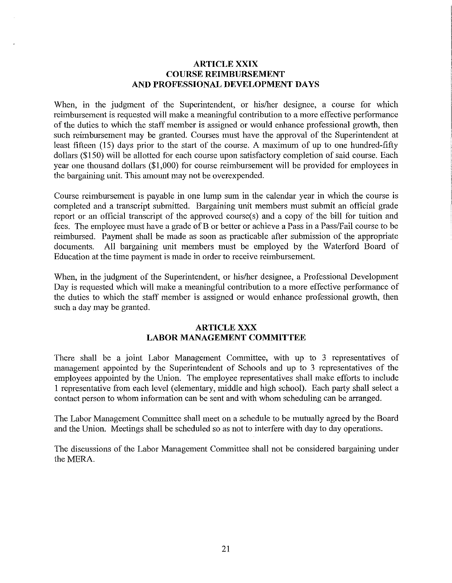#### **ARTICLE XXIX COURSE REIMBURSEMENT AND PROFESSIONAL DEVELOPMENT DAYS**

When, in the judgment of the Superintendent, or his/her designee, a course for which reimbursement is requested will make a meaningful contribution to a more effective performance of the duties to which the staff member is assigned or would enhance professional growth, then such reimbursement may be granted. Courses must have the approval of the Superintendent at least fifteen (15) days prior to the start of the course. A maximum of up to one hundred-fifty dollars (\$150) will be allotted for each course upon satisfactory completion of said course. Each year one thousand dollars (\$1,000) for course reimbursement will be provided for employees in the bargaining unit. This amount may not be overexpended.

Comse reimbursement is payable in one lump sum in the calendar year in which the course is completed and a transcript submitted. Bargaining unit members must submit an official grade report or an official transcript of the approved course( s) and a copy of the bill for tuition and fees. The employee must have a grade of B or better or achieve a Pass in a Pass/Fail course to be reimbursed. Payment shall be made as soon as practicable after submission of the appropriate documents. All bargaining unit members must be employed by the Waterford Board of Education at the time payment is made in order to receive reimbursement.

When, in the judgment of the Superintendent, or his/her designee, a Professional Development Day is requested which will make a meaningful contribution to a more effective performance of the duties to which the staff member is assigned or would enhance professional growth, then such a day may be granted.

## **ARTICLE XXX LABOR MANAGEMENT COMMITTEE**

There shall be a joint Labor Management Committee, with up to 3 representatives of management appointed by the Superintendent of Schools and up to 3 representatives of the employees appointed by the Union. The employee representatives shall make efforts to include 1 representative from each level (elementary, middle and high school). Each patty shall select a contact person to whom information can be sent and with whom scheduling can be arranged.

The Labor Management Committee shall meet on a schedule to be mutually agreed by the Board and the Union. Meetings shall be scheduled so as not to interfere with day to day operations.

The discussions of the Labor Management Committee shall not be considered bargaining under the MERA.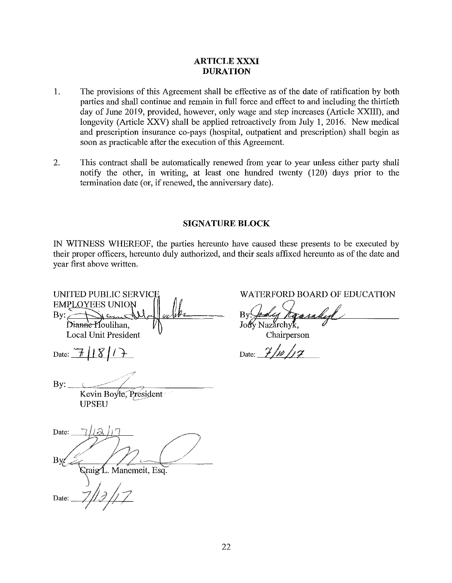## **ARTICLE XXXI DURATION**

- 1. The provisions of this Agreement shall be effective as of the date of ratification by both parties and shall continue and remain in full force and effect to and including the thirtieth day of June 2019, provided, however, only wage and step increases (Article XXIII), and longevity (Atticle XXV) shall be applied retroactively from July 1, 2016. New medical and prescription insurance co-pays (hospital, outpatient and prescription) shall begin as soon as practicable after the execution of this Agreement.
- 2. This contract shall be automatically renewed from year to year unless either party shall notify the other, in writing, at least one hundred twenty (120) days prior to the termination date (or, if renewed, the anniversary date).

#### **SIGNATURE BLOCK**

IN WITNESS WHEREOF, the parties hereunto have caused these presents to be executed by their proper officers, hereunto duly authorized, and their seals affixed hereunto as of the date and year first above written.

UNITED PUBLIC SERVIC **EMPLOYEES UNION** By: Di<del>ann'e H</del>oulihan, **Local Unit President** Date:  $\frac{7}{18}$  | 1  $\frac{8}{1}$ *-;?*  /  $\mathsf{By:}\_\_\_\_\_\_\_\_\_\_\_\_\_\_\_\_\_\_\_$ Kevin Boyle, President UPSEU Date: raig L. Manemeit, Esq. Date:

WATERFORD BOARD OF EDUCATION

By: *foodcy Tagen*<br>Jody Nazarchyk,<br>Chairperson

Date: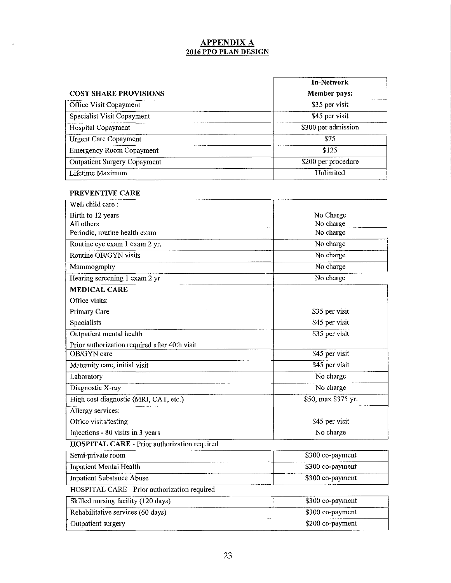## **APPENDIX A 2016 PPO PLAN DESIGN**

|                                     | In-Network          |
|-------------------------------------|---------------------|
| <b>COST SHARE PROVISIONS</b>        | Member pays:        |
| Office Visit Copayment              | \$35 per visit      |
| Specialist Visit Copayment          | \$45 per visit      |
| Hospital Copayment                  | \$300 per admission |
| <b>Urgent Care Copayment</b>        | \$75                |
| <b>Emergency Room Copayment</b>     | \$125               |
| <b>Outpatient Surgery Copayment</b> | \$200 per procedure |
| Lifetime Maximum                    | Unlimited           |

#### **PREVENTIVE CARE**

| Well child care:                                    |                     |
|-----------------------------------------------------|---------------------|
| Birth to 12 years                                   | No Charge           |
| All others                                          | No charge           |
| Periodic, routine health exam                       | No charge           |
| Routine eye exam 1 exam 2 yr.                       | No charge           |
| Routine OB/GYN visits                               | No charge           |
| Mammography                                         | No charge           |
| Hearing screening 1 exam 2 yr.                      | No charge           |
| <b>MEDICAL CARE</b>                                 |                     |
| Office visits:                                      |                     |
| Primary Care                                        | \$35 per visit      |
| Specialists                                         | \$45 per visit      |
| Outpatient mental health                            | \$35 per visit      |
| Prior authorization required after 40th visit       |                     |
| OB/GYN care                                         | \$45 per visit      |
| Maternity care, initial visit                       | \$45 per visit      |
| Laboratory                                          | No charge           |
| Diagnostic X-ray                                    | No charge           |
| High cost diagnostic (MRI, CAT, etc.)               | \$50, max \$375 yr. |
| Allergy services:                                   |                     |
| Office visits/testing                               | \$45 per visit      |
| No charge<br>Injections - 80 visits in 3 years      |                     |
| <b>HOSPITAL CARE - Prior authorization required</b> |                     |

| Semi-private room         | \$300 co-payment |
|---------------------------|------------------|
| Inpatient Mental Health   | \$300 co-payment |
| Inpatient Substance Abuse | \$300 co-payment |

## HOSPITAL CARE - Prior authorization required

| Skilled nursing facility (120 days) | \$300 co-payment |
|-------------------------------------|------------------|
| Rehabilitative services (60 days)   | \$300 co-payment |
| Outpatient surgery                  | \$200 co-payment |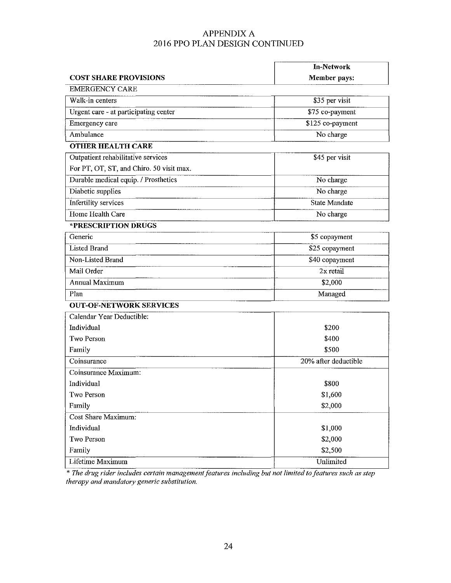## APPENDIX A 2016 PPO PLAN DESIGN CONTINUED

|                                          | <b>In-Network</b>    |
|------------------------------------------|----------------------|
| <b>COST SHARE PROVISIONS</b>             | Member pays:         |
| <b>EMERGENCY CARE</b>                    |                      |
| Walk-in centers                          | \$35 per visit       |
| Urgent care - at participating center    | \$75 co-payment      |
| Emergency care                           | \$125 co-payment     |
| Ambulance                                | No charge            |
| <b>OTHER HEALTH CARE</b>                 |                      |
| Outpatient rehabilitative services       | \$45 per visit       |
| For PT, OT, ST, and Chiro. 50 visit max. |                      |
| Durable medical equip. / Prosthetics     | No charge            |
| Diabetic supplies                        | No charge            |
| Infertility services                     | <b>State Mandate</b> |
| Home Health Care                         | No charge            |
| *PRESCRIPTION DRUGS                      |                      |
| Generic                                  | \$5 copayment        |
| <b>Listed Brand</b>                      | \$25 copayment       |
| Non-Listed Brand                         | \$40 copayment       |
| Mail Order                               | 2x retail            |
| <b>Annual Maximum</b>                    | \$2,000              |
| Plan                                     | Managed              |
| <b>OUT-OF-NETWORK SERVICES</b>           |                      |
| Calendar Year Deductible:                |                      |
| Individual                               | \$200                |
| Two Person                               | \$400                |
| \$500<br>Family                          |                      |
| Coinsurance                              | 20% after deductible |
| Coinsurance Maximum:                     |                      |
| Individual                               | \$800                |
| Two Person                               | \$1,600              |
| Family                                   | \$2,000              |
| Cost Share Maximum:                      |                      |
| Individual                               | \$1,000              |
| Two Person<br>\$2,000                    |                      |
| \$2,500<br>Family                        |                      |
| Lifetime Maximum                         | Unlimited            |

*\*The drug nder mcludes certam management features mcludmg but not !muted to features such as step therapy and mandatmy generic substitution.*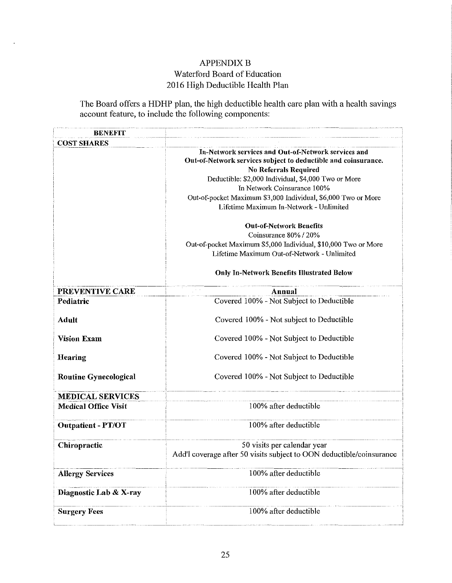## APPENDIX B Waterford Board of Education 2016 High Deductible Health Plan

 $\lambda$ 

The Board offers a HDHP plan, the high deductible health care plan with a health savings account feature, to include the following components:

| <b>BENEFIT</b>               |                                                                                                                                                                                                                                                                                                                                                         |
|------------------------------|---------------------------------------------------------------------------------------------------------------------------------------------------------------------------------------------------------------------------------------------------------------------------------------------------------------------------------------------------------|
| <b>COST SHARES</b>           |                                                                                                                                                                                                                                                                                                                                                         |
|                              | In-Network services and Out-of-Network services and<br>Out-of-Network services subject to deductible and coinsurance.<br><b>No Referrals Required</b><br>Deductible: \$2,000 Individual, \$4,000 Two or More<br>In Network Coinsurance 100%<br>Out-of-pocket Maximum \$3,000 Individual, \$6,000 Two or More<br>Lifetime Maximum In-Network - Unlimited |
|                              | <b>Out-of-Network Benefits</b><br>Coinsurance 80% / 20%<br>Out-of-pocket Maximum \$5,000 Individual, \$10,000 Two or More<br>Lifetime Maximum Out-of-Network - Unlimited                                                                                                                                                                                |
|                              | <b>Only In-Network Benefits Illustrated Below</b>                                                                                                                                                                                                                                                                                                       |
| PREVENTIVE CARE              | <b>Annual</b>                                                                                                                                                                                                                                                                                                                                           |
| Pediatric                    | Covered 100% - Not Subject to Deductible                                                                                                                                                                                                                                                                                                                |
| <b>Adult</b>                 | Covered 100% - Not subject to Deductible                                                                                                                                                                                                                                                                                                                |
| <b>Vision Exam</b>           | Covered 100% - Not Subject to Deductible                                                                                                                                                                                                                                                                                                                |
| Hearing                      | Covered 100% - Not Subject to Deductible                                                                                                                                                                                                                                                                                                                |
| <b>Routine Gynecological</b> | Covered 100% - Not Subject to Deductible                                                                                                                                                                                                                                                                                                                |
| <b>MEDICAL SERVICES</b>      |                                                                                                                                                                                                                                                                                                                                                         |
| <b>Medical Office Visit</b>  | 100% after deductible                                                                                                                                                                                                                                                                                                                                   |
| <b>Outpatient - PT/OT</b>    | 100% after deductible                                                                                                                                                                                                                                                                                                                                   |
| Chiropractic                 | 50 visits per calendar year                                                                                                                                                                                                                                                                                                                             |
|                              | Add'l coverage after 50 visits subject to OON deductible/coinsurance                                                                                                                                                                                                                                                                                    |
| <b>Allergy Services</b>      | 100% after deductible                                                                                                                                                                                                                                                                                                                                   |
| Diagnostic Lab & X-ray       | 100% after deductible                                                                                                                                                                                                                                                                                                                                   |
| <b>Surgery Fees</b>          | 100% after deductible                                                                                                                                                                                                                                                                                                                                   |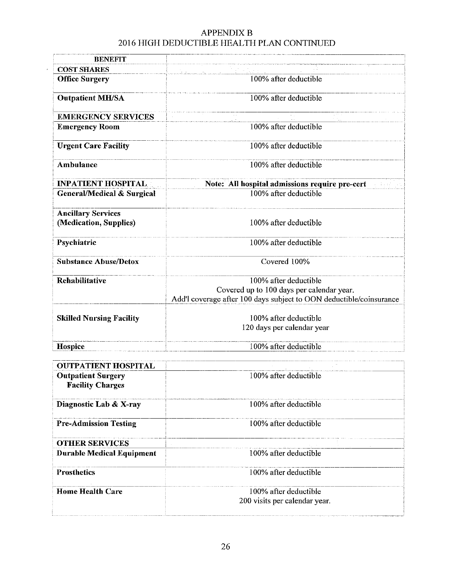## APPENDIX B 2016 HIGH DEDUCTIBLE HEALTH PLAN CONTINUED

 $\hat{\mathcal{E}}$ 

| <b>BENEFIT</b>                                      |                                                                     |  |  |
|-----------------------------------------------------|---------------------------------------------------------------------|--|--|
| <b>COST SHARES</b>                                  |                                                                     |  |  |
| <b>Office Surgery</b>                               | 100% after deductible                                               |  |  |
| <b>Outpatient MH/SA</b>                             | 100% after deductible                                               |  |  |
| <b>EMERGENCY SERVICES</b>                           |                                                                     |  |  |
| <b>Emergency Room</b>                               | 100% after deductible                                               |  |  |
| <b>Urgent Care Facility</b>                         | 100% after deductible                                               |  |  |
| Ambulance                                           | 100% after deductible                                               |  |  |
| <b>INPATIENT HOSPITAL</b>                           | Note: All hospital admissions require pre-cert                      |  |  |
| <b>General/Medical &amp; Surgical</b>               | 100% after deductible                                               |  |  |
| <b>Ancillary Services</b><br>(Medication, Supplies) | 100% after deductible                                               |  |  |
| Psychiatric                                         | 100% after deductible                                               |  |  |
| <b>Substance Abuse/Detox</b>                        | Covered 100%                                                        |  |  |
| Rehabilitative                                      | 100% after deductible                                               |  |  |
|                                                     | Covered up to 100 days per calendar year.                           |  |  |
|                                                     | Add'l coverage after 100 days subject to OON deductible/coinsurance |  |  |
| <b>Skilled Nursing Facility</b>                     | 100% after deductible                                               |  |  |
|                                                     | 120 days per calendar year                                          |  |  |
| Hospice                                             | 100% after deductible                                               |  |  |
|                                                     |                                                                     |  |  |

| <b>OUTPATIENT HOSPITAL</b>                           |                                                        |  |
|------------------------------------------------------|--------------------------------------------------------|--|
| <b>Outpatient Surgery</b><br><b>Facility Charges</b> | 100% after deductible                                  |  |
| Diagnostic Lab & X-ray                               | 100% after deductible                                  |  |
| <b>Pre-Admission Testing</b>                         | 100% after deductible                                  |  |
| <b>OTHER SERVICES</b>                                |                                                        |  |
| <b>Durable Medical Equipment</b>                     | 100% after deductible                                  |  |
| <b>Prosthetics</b>                                   | 100% after deductible                                  |  |
| <b>Home Health Care</b>                              | 100% after deductible<br>200 visits per calendar year. |  |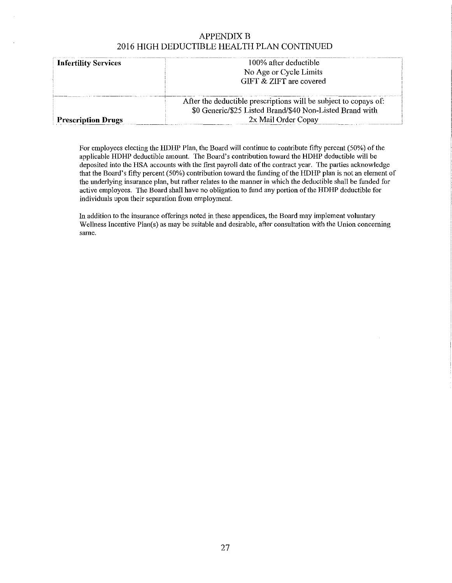## **APPENDIX B** 2016 HIGH DEDUCTIBLE HEALTH PLAN CONTINUED

| <b>Infertility Services</b> | 100% after deductible                                            |  |  |
|-----------------------------|------------------------------------------------------------------|--|--|
|                             | No Age or Cycle Limits                                           |  |  |
|                             | GIFT & ZIFT are covered                                          |  |  |
|                             |                                                                  |  |  |
|                             | After the deductible prescriptions will be subject to copays of: |  |  |
|                             | \$0 Generic/\$25 Listed Brand/\$40 Non-Listed Brand with         |  |  |
| <b>Prescription Drugs</b>   | 2x Mail Order Copay                                              |  |  |

For employees electing the HDHP Plan, the Board will continue to contribute fifty percent (50%) of the applicable HDHP deductible amount. The Board's contribution toward the HDHP deductible will be deposited into the HSA accounts with the first payroll date of the contract year. The parties acknowledge that the Board's fifty percent (50%) contribution toward the funding of the HDHP plan is not an element of the underlying insurance plan, but rather relates to the manner in which the deductible shall be funded for active employees. The Board shall have no obligation to fund any portion of the HDHP deductible for **individuals upon their separation from employment.** 

In addition to the insurance offerings noted in these appendices, the Board may implement voluntary Wellness Incentive Plan(s) as may be suitable and desirable, after consultation with the Union concerning **same.**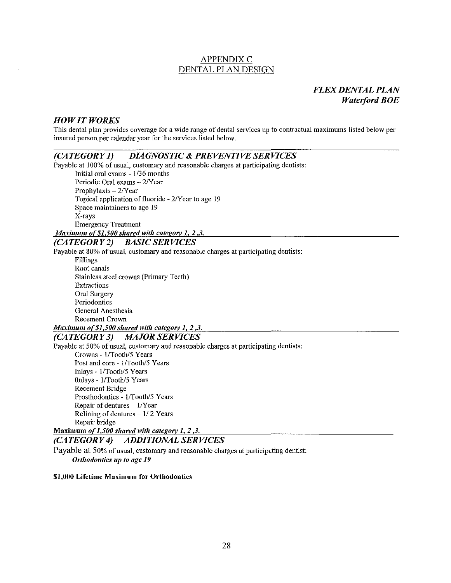## **APPENDIX C** DENTAL PLAN DESIGN

## *FLEX DENTAL PLAN Waterford BOE*

#### *HOW IT WORKS*

This dental plan provides coverage for a wide range of dental services up to contractual maximums listed below per insured person per calendar year for the services listed below.

#### *(CATEGORY 1) DIAGNOSTIC* & *PREVENTIVE SERVICES*

Payable at 100% of usual, customary and reasonable charges at participating dentists: Initial oral exams- 1/36 months

Periodic Oral exams - 2/Year Prophylaxis - 2/Year Topical application of fluoride- 2/Year to age 19 Space maintainers to age 19 X-rays Emergency Treatment

*Maximum of \$1,500 shared with category 1, 2,3.* 

## *(CATEGORY 2) BASIC SERVICES*

Payable at 80% of usual, customary and reasonable charges at participating dentists:

Fillings Root canals Stainless steel crowns (Primary Teeth) Extractions Oral Surgery Periodontics General Anesthesia Recement Crown

## *Maximum of \$1,500 shared with category 1, 2,3.*

## *(CATEGORY 3) MAJOR SERVICES*

Payable at 50% of usual, customary and reasonable charges at participating dentists:

Crowns- 1/Tooth/5 Years Post and core - 1/Tooth/5 Years Inlays - 1/Tooth/5 Years Onlays- 1/Tooth/5 Years Recement Bridge Prosthodontics - 1/Tooth/5 Years Repair of dentures  $-1$  /Y ear Relining of dentures  $-1/2$  Years Repair bridge

Maximum *of 1,500 shared with category 1, 2,3.* 

## *(CATEGORY 4) ADDITIONAL SERVICES*

Payable at 50% of usual, customary and reasonable charges at participating dentist: *Ortltotlmttics up to age 19* 

#### \$1,000 Lifetime Maximum for Orthodontics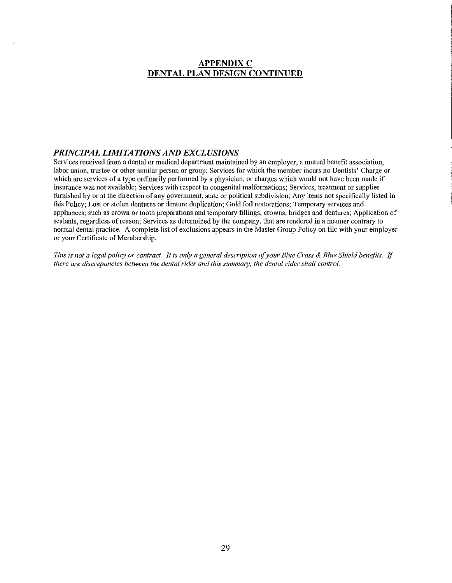## **APPENDIX C** DENTAL PLAN DESIGN CONTINUED

#### *PRINCIPAL LIMITATIONS AND EXCLUSIONS*

Services received from a dental or medical department maintained by an employer, a mutual benefit association, labor union, trustee or other similar person or group; Services for which the member incurs no Dentists' Charge or which are services of a type ordinarily performed by a physician, or charges which would not have been made if insurance was not available; Services with respect to congenital malformations; Services, treatment or supplies furnished by or at the direction of any govermnent, state or political subdivision; Any items not specifically listed in this Policy; Lost or stolen dentures or denture duplication; Gold foil restorations; Temporary services and appliances; such as crown or tooth preparations and temporary fillings, crowns, bridges and dentures; Application of sealants, regardless of reason; Services as determined by the company, that are rendered in a manner contrary to normal dental practice. A complete list of exclusions appears in the Master Group Policy on file with your employer or your Certificate of Membership.

*This is not a legal policy or conn· act. It is only a general description of your Blue Cross* & *Blue Shield benefits.* If *there are discrepancies between the dental rider and this summary, the dental rider shall control.*